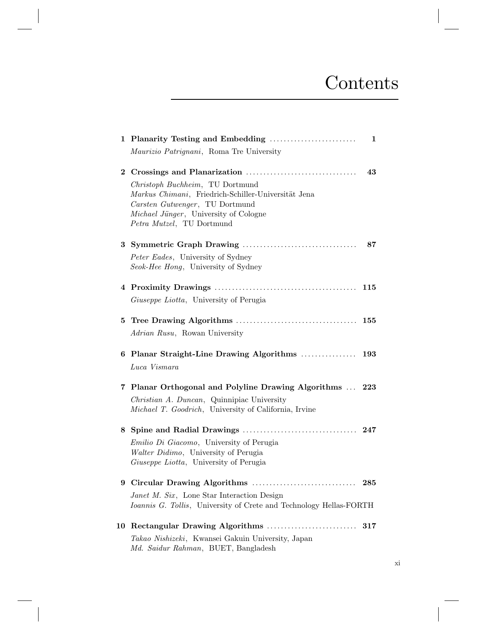## **Contents**

|          |                                                                                          | 1   |
|----------|------------------------------------------------------------------------------------------|-----|
|          | Maurizio Patrignani, Roma Tre University                                                 |     |
| $\bf{2}$ |                                                                                          | 43  |
|          | Christoph Buchheim, TU Dortmund                                                          |     |
|          | Markus Chimani, Friedrich-Schiller-Universität Jena<br>Carsten Gutwenger, TU Dortmund    |     |
|          | Michael Jünger, University of Cologne                                                    |     |
|          | Petra Mutzel, TU Dortmund                                                                |     |
|          |                                                                                          | 87  |
|          | Peter Eades, University of Sydney                                                        |     |
|          | Seok-Hee Hong, University of Sydney                                                      |     |
|          |                                                                                          | 115 |
|          | Giuseppe Liotta, University of Perugia                                                   |     |
| 5.       |                                                                                          |     |
|          | Adrian Rusu, Rowan University                                                            |     |
|          | 6 Planar Straight-Line Drawing Algorithms  193                                           |     |
|          | Luca Vismara                                                                             |     |
| 7.       | Planar Orthogonal and Polyline Drawing Algorithms  223                                   |     |
|          | Christian A. Duncan, Quinnipiac University                                               |     |
|          | Michael T. Goodrich, University of California, Irvine                                    |     |
| 8.       |                                                                                          |     |
|          | Emilio Di Giacomo, University of Perugia                                                 |     |
|          | Walter Didimo, University of Perugia                                                     |     |
|          | Giuseppe Liotta, University of Perugia                                                   |     |
|          |                                                                                          |     |
|          | <i>Janet M. Six</i> , Lone Star Interaction Design                                       |     |
|          | Ioannis G. Tollis, University of Crete and Technology Hellas-FORTH                       |     |
| 10       |                                                                                          | 317 |
|          | Takao Nishizeki, Kwansei Gakuin University, Japan<br>Md. Saidur Rahman, BUET, Bangladesh |     |

xi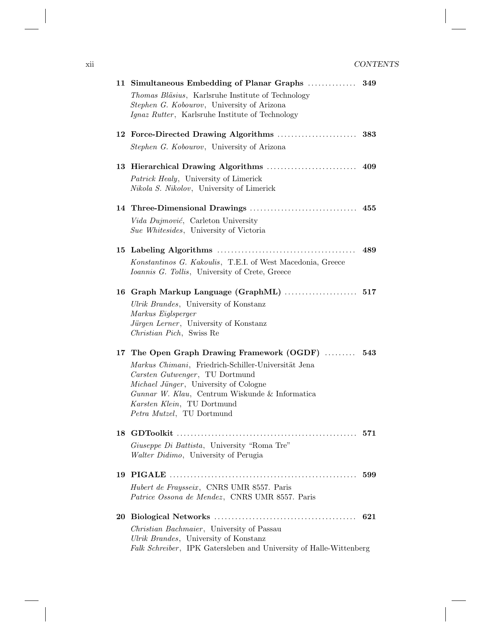|    | 11 Simultaneous Embedding of Planar Graphs                                                      | 349 |
|----|-------------------------------------------------------------------------------------------------|-----|
|    | Thomas Bläsius, Karlsruhe Institute of Technology                                               |     |
|    | Stephen G. Kobourov, University of Arizona                                                      |     |
|    | <i>Ignaz Rutter</i> , Karlsruhe Institute of Technology                                         |     |
|    |                                                                                                 | 383 |
|    | Stephen G. Kobourov, University of Arizona                                                      |     |
|    |                                                                                                 | 409 |
|    | Patrick Healy, University of Limerick                                                           |     |
|    | <i>Nikola S. Nikolov</i> , University of Limerick                                               |     |
|    |                                                                                                 |     |
|    | Vida Dujmović, Carleton University                                                              |     |
|    | <i>Sue Whitesides</i> , University of Victoria                                                  |     |
|    |                                                                                                 | 489 |
|    | Konstantinos G. Kakoulis, T.E.I. of West Macedonia, Greece                                      |     |
|    | <i>Ioannis G. Tollis</i> , University of Crete, Greece                                          |     |
|    | 16 Graph Markup Language (GraphML)  517                                                         |     |
|    | Ulrik Brandes, University of Konstanz                                                           |     |
|    | Markus Eiglsperger                                                                              |     |
|    | Jürgen Lerner, University of Konstanz                                                           |     |
|    | Christian Pich, Swiss Re                                                                        |     |
|    | 17 The Open Graph Drawing Framework (OGDF)                                                      | 543 |
|    | Markus Chimani, Friedrich-Schiller-Universität Jena                                             |     |
|    | Carsten Gutwenger, TU Dortmund                                                                  |     |
|    | <i>Michael Jünger</i> , University of Cologne<br>Gunnar W. Klau, Centrum Wiskunde & Informatica |     |
|    | Karsten Klein, TU Dortmund                                                                      |     |
|    | Petra Mutzel, TU Dortmund                                                                       |     |
|    | 18 GDToolkit<br>.                                                                               | 571 |
|    | Giuseppe Di Battista, University "Roma Tre"                                                     |     |
|    | Walter Didimo, University of Perugia                                                            |     |
| 19 |                                                                                                 | 599 |
|    | Hubert de Fraysseix, CNRS UMR 8557. Paris                                                       |     |
|    | Patrice Ossona de Mendez, CNRS UMR 8557. Paris                                                  |     |
| 20 |                                                                                                 | 621 |
|    | <i>Christian Bachmaier</i> , University of Passau                                               |     |
|    | Ulrik Brandes, University of Konstanz                                                           |     |
|    | Falk Schreiber, IPK Gatersleben and University of Halle-Wittenberg                              |     |